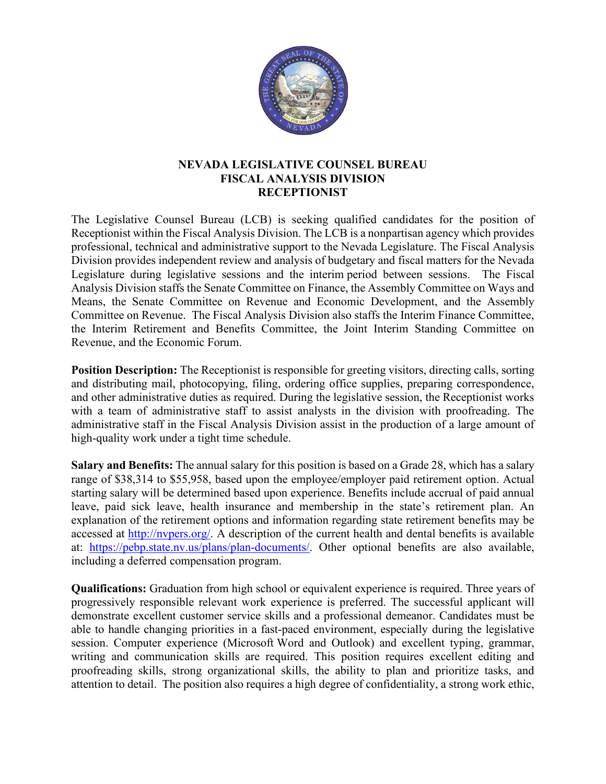

## **NEVADA LEGISLATIVE COUNSEL BUREAU FISCAL ANALYSIS DIVISION RECEPTIONIST**

The Legislative Counsel Bureau (LCB) is seeking qualified candidates for the position of Receptionist within the Fiscal Analysis Division. The LCB is a nonpartisan agency which provides professional, technical and administrative support to the Nevada Legislature. The Fiscal Analysis Division provides independent review and analysis of budgetary and fiscal matters for the Nevada Legislature during legislative sessions and the interim period between sessions. The Fiscal Analysis Division staffs the Senate Committee on Finance, the Assembly Committee on Ways and Means, the Senate Committee on Revenue and Economic Development, and the Assembly Committee on Revenue. The Fiscal Analysis Division also staffs the Interim Finance Committee, the Interim Retirement and Benefits Committee, the Joint Interim Standing Committee on Revenue, and the Economic Forum.

**Position Description:** The Receptionist is responsible for greeting visitors, directing calls, sorting and distributing mail, photocopying, filing, ordering office supplies, preparing correspondence, and other administrative duties as required. During the legislative session, the Receptionist works with a team of administrative staff to assist analysts in the division with proofreading. The administrative staff in the Fiscal Analysis Division assist in the production of a large amount of high-quality work under a tight time schedule.

**Salary and Benefits:** The annual salary for this position is based on a Grade 28, which has a salary range of \$38,314 to \$55,958, based upon the employee/employer paid retirement option. Actual starting salary will be determined based upon experience. Benefits include accrual of paid annual leave, paid sick leave, health insurance and membership in the state's retirement plan. An explanation of the retirement options and information regarding state retirement benefits may be accessed at [http://nvpers.org/.](http://nvpers.org/) A description of the current health and dental benefits is available at: [https://pebp.state.nv.us/plans/plan-documents/.](https://pebp.state.nv.us/plans/plan-documents/) Other optional benefits are also available, including a deferred compensation program.

**Qualifications:** Graduation from high school or equivalent experience is required. Three years of progressively responsible relevant work experience is preferred. The successful applicant will demonstrate excellent customer service skills and a professional demeanor. Candidates must be able to handle changing priorities in a fast-paced environment, especially during the legislative session. Computer experience (Microsoft Word and Outlook) and excellent typing, grammar, writing and communication skills are required. This position requires excellent editing and proofreading skills, strong organizational skills, the ability to plan and prioritize tasks, and attention to detail. The position also requires a high degree of confidentiality, a strong work ethic,